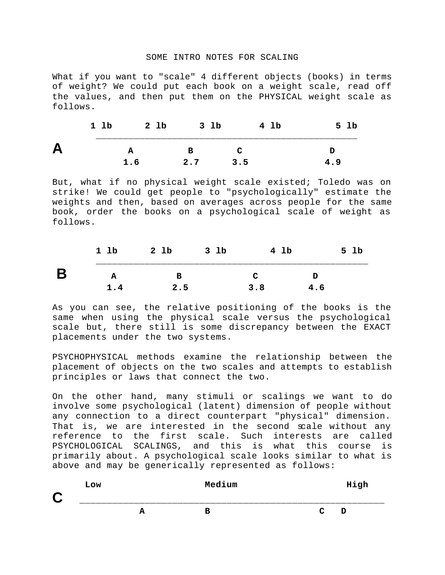## SOME INTRO NOTES FOR SCALING

What if you want to "scale" 4 different objects (books) in terms of weight? We could put each book on a weight scale, read off the values, and then put them on the PHYSICAL weight scale as follows.

|          | 1 lb | 2 lb              | 3 lb | 4 lb | Lb<br>5 |
|----------|------|-------------------|------|------|---------|
| $\Gamma$ |      | ____________<br>А | R    | œ    |         |
|          |      | 1.6               | 2.7  | 3.5  | 4.9     |

But, what if no physical weight scale existed; Toledo was on strike! We could get people to "psychologically" estimate the weights and then, based on averages across people for the same book, order the books on a psychological scale of weight as follows.

| 1 lb | 2 lb | 3 <sub>1b</sub> | 4 lb |     | 1b<br>5. |
|------|------|-----------------|------|-----|----------|
|      |      |                 | ◠    |     |          |
| 1.4  | 2.5  |                 | 3.8  | 4.6 |          |

As you can see, the relative positioning of the books is the same when using the physical scale versus the psychological scale but, there still is some discrepancy between the EXACT placements under the two systems.

PSYCHOPHYSICAL methods examine the relationship between the placement of objects on the two scales and attempts to establish principles or laws that connect the two.

On the other hand, many stimuli or scalings we want to do involve some psychological (latent) dimension of people without any connection to a direct counterpart "physical" dimension. That is, we are interested in the second scale without any reference to the first scale. Such interests are called PSYCHOLOGICAL SCALINGS, and this is what this course is primarily about. A psychological scale looks similar to what is above and may be generically represented as follows:

| C | Low |        | Medium |              | High |
|---|-----|--------|--------|--------------|------|
|   |     | Δ<br>A | в      | $\mathbf{C}$ | D    |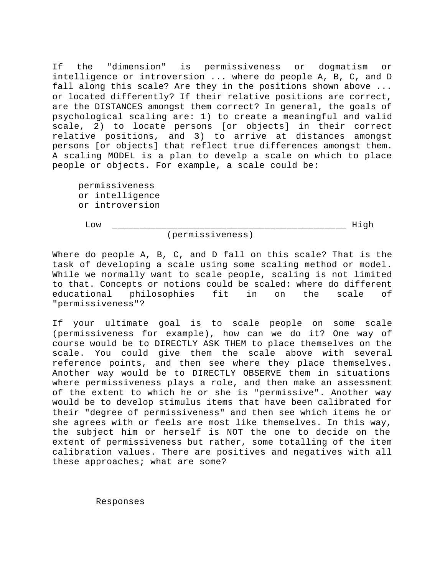If the "dimension" is permissiveness or dogmatism or intelligence or introversion ... where do people A, B, C, and D fall along this scale? Are they in the positions shown above ... or located differently? If their relative positions are correct, are the DISTANCES amongst them correct? In general, the goals of psychological scaling are: 1) to create a meaningful and valid scale, 2) to locate persons [or objects] in their correct relative positions, and 3) to arrive at distances amongst persons [or objects] that reflect true differences amongst them. A scaling MODEL is a plan to develp a scale on which to place people or objects. For example, a scale could be:

permissiveness or intelligence or introversion

 $\hbox{Low}$ 

(permissiveness)

Where do people A, B, C, and D fall on this scale? That is the task of developing a scale using some scaling method or model. While we normally want to scale people, scaling is not limited to that. Concepts or notions could be scaled: where do different educational philosophies fit in on the scale of "permissiveness"?

If your ultimate goal is to scale people on some scale (permissiveness for example), how can we do it? One way of course would be to DIRECTLY ASK THEM to place themselves on the scale. You could give them the scale above with several reference points, and then see where they place themselves. Another way would be to DIRECTLY OBSERVE them in situations where permissiveness plays a role, and then make an assessment of the extent to which he or she is "permissive". Another way would be to develop stimulus items that have been calibrated for their "degree of permissiveness" and then see which items he or she agrees with or feels are most like themselves. In this way, the subject him or herself is NOT the one to decide on the extent of permissiveness but rather, some totalling of the item calibration values. There are positives and negatives with all these approaches; what are some?

Responses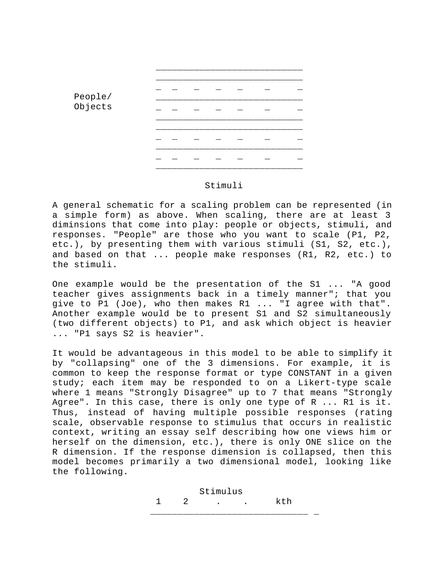

## Stimuli

A general schematic for a scaling problem can be represented (in a simple form) as above. When scaling, there are at least 3 diminsions that come into play: people or objects, stimuli, and responses. "People" are those who you want to scale (P1, P2, etc.), by presenting them with various stimuli (S1, S2, etc.), and based on that ... people make responses (R1, R2, etc.) to the stimuli.

One example would be the presentation of the S1 ... "A good teacher gives assignments back in a timely manner"; that you give to P1 (Joe), who then makes R1 ... "I agree with that". Another example would be to present S1 and S2 simultaneously (two different objects) to P1, and ask which object is heavier ... "P1 says S2 is heavier".

It would be advantageous in this model to be able to simplify it by "collapsing" one of the 3 dimensions. For example, it is common to keep the response format or type CONSTANT in a given study; each item may be responded to on a Likert-type scale where 1 means "Strongly Disagree" up to 7 that means "Strongly Agree". In this case, there is only one type of R ... R1 is it. Thus, instead of having multiple possible responses (rating scale, observable response to stimulus that occurs in realistic context, writing an essay self describing how one views him or herself on the dimension, etc.), there is only ONE slice on the R dimension. If the response dimension is collapsed, then this model becomes primarily a two dimensional model, looking like the following.

 Stimulus 1 2 . . kth \_\_\_\_\_\_\_\_\_\_\_\_\_\_\_\_\_\_\_\_\_\_\_\_\_\_\_\_\_ \_